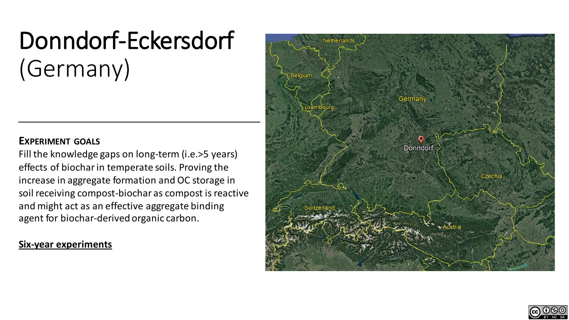# Donndorf-Eckersdorf (Germany)

## **EXPERIMENT GOALS**

Fill the knowledge gaps on long-term (i.e.>5 years) effects of biochar in temperate soils. Proving the increase in aggregate formation and OC storage in soil receiving compost-biochar as compost is reactive and might act as an effective aggregate binding agent for biochar-derived organic carbon.

## **Six-year experiments**



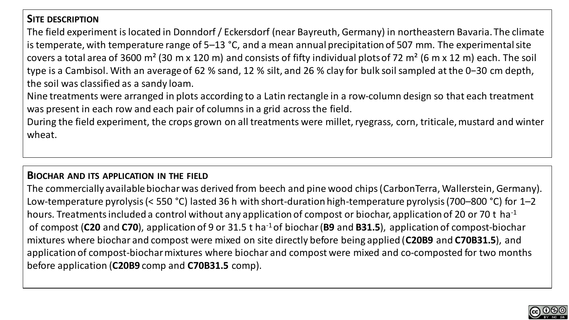# **SITE DESCRIPTION**

The field experiment is located in Donndorf / Eckersdorf (near Bayreuth, Germany) in northeastern Bavaria. The climate is temperate, with temperature range of 5–13 °C, and a mean annual precipitation of 507 mm. The experimental site covers a total area of 3600 m<sup>2</sup> (30 m x 120 m) and consists of fifty individual plots of 72 m<sup>2</sup> (6 m x 12 m) each. The soil type is a Cambisol. With an average of 62 % sand, 12 % silt, and 26 % clay for bulk soil sampled at the 0−30 cm depth, the soil was classified as a sandy loam.

Nine treatments were arranged in plots according to a Latin rectangle in a row-column design so that each treatment was present in each row and each pair of columns in a grid across the field.

During the field experiment, the crops grown on all treatments were millet, ryegrass, corn, triticale, mustard and winter wheat.

#### **BIOCHAR AND ITS APPLICATION IN THE FIELD**

The commercially available biochar was derived from beech and pine wood chips (CarbonTerra, Wallerstein, Germany). Low-temperature pyrolysis (< 550 °C) lasted 36 h with short-duration high-temperature pyrolysis (700–800 °C) for 1–2 hours. Treatments included a control without any application of compost or biochar, application of 20 or 70 t ha<sup>-1</sup> of compost (**C20** and **C70**), application of 9 or 31.5 t ha-1of biochar (**B9** and **B31.5**), application of compost-biochar mixtures where biochar and compost were mixed on site directly before being applied (**C20B9** and **C70B31.5**), and application of compost-biochar mixtures where biochar and compost were mixed and co-composted for two months before application (**C20B9** comp and **C70B31.5** comp).

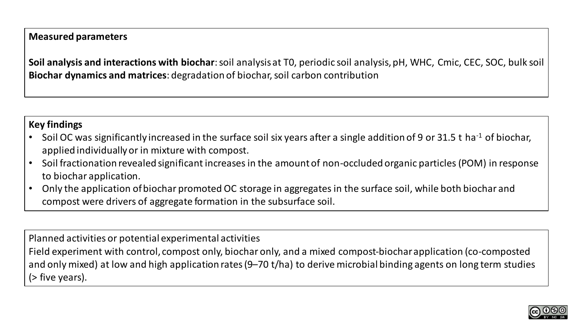## **Measured parameters**

**Soil analysis and interactions with biochar**: soil analysis at T0, periodic soil analysis, pH, WHC, Cmic, CEC, SOC, bulk soil **Biochar dynamics and matrices**: degradation of biochar, soil carbon contribution

## **Key findings**

- Soil OC was significantly increased in the surface soil six years after a single addition of 9 or 31.5 t ha<sup>-1</sup> of biochar, applied individually or in mixture with compost.
- Soil fractionation revealed significant increases in the amount of non-occluded organic particles (POM) in response to biochar application.
- Only the application of biochar promoted OC storage in aggregates in the surface soil, while both biochar and compost were drivers of aggregate formation in the subsurface soil.

Planned activities or potential experimental activities Field experiment with control, compost only, biochar only, and a mixed compost-biochar application (co-composted and only mixed) at low and high application rates (9–70 t/ha) to derive microbial binding agents on long term studies (> five years).